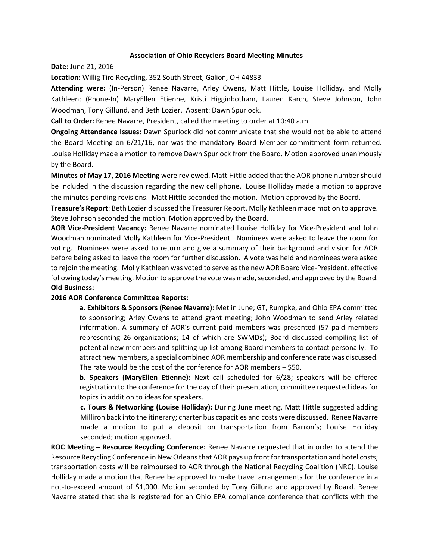## **Association of Ohio Recyclers Board Meeting Minutes**

**Date:** June 21, 2016

**Location:** Willig Tire Recycling, 352 South Street, Galion, OH 44833

**Attending were:** (In-Person) Renee Navarre, Arley Owens, Matt Hittle, Louise Holliday, and Molly Kathleen; (Phone-In) MaryEllen Etienne, Kristi Higginbotham, Lauren Karch, Steve Johnson, John Woodman, Tony Gillund, and Beth Lozier. Absent: Dawn Spurlock.

**Call to Order:** Renee Navarre, President, called the meeting to order at 10:40 a.m.

**Ongoing Attendance Issues:** Dawn Spurlock did not communicate that she would not be able to attend the Board Meeting on 6/21/16, nor was the mandatory Board Member commitment form returned. Louise Holliday made a motion to remove Dawn Spurlock from the Board. Motion approved unanimously by the Board.

**Minutes of May 17, 2016 Meeting** were reviewed. Matt Hittle added that the AOR phone number should be included in the discussion regarding the new cell phone. Louise Holliday made a motion to approve the minutes pending revisions. Matt Hittle seconded the motion. Motion approved by the Board.

**Treasure's Report**: Beth Lozier discussed the Treasurer Report. Molly Kathleen made motion to approve. Steve Johnson seconded the motion. Motion approved by the Board.

**AOR Vice-President Vacancy:** Renee Navarre nominated Louise Holliday for Vice-President and John Woodman nominated Molly Kathleen for Vice-President. Nominees were asked to leave the room for voting. Nominees were asked to return and give a summary of their background and vision for AOR before being asked to leave the room for further discussion. A vote was held and nominees were asked to rejoin the meeting. Molly Kathleen was voted to serve as the new AOR Board Vice-President, effective following today's meeting. Motion to approve the vote was made, seconded, and approved by the Board. **Old Business:** 

## **2016 AOR Conference Committee Reports:**

**a. Exhibitors & Sponsors (Renee Navarre):** Met in June; GT, Rumpke, and Ohio EPA committed to sponsoring; Arley Owens to attend grant meeting; John Woodman to send Arley related information. A summary of AOR's current paid members was presented (57 paid members representing 26 organizations; 14 of which are SWMDs); Board discussed compiling list of potential new members and splitting up list among Board members to contact personally. To attract new members, a special combined AOR membership and conference rate was discussed. The rate would be the cost of the conference for AOR members + \$50.

**b. Speakers (MaryEllen Etienne):** Next call scheduled for 6/28; speakers will be offered registration to the conference for the day of their presentation; committee requested ideas for topics in addition to ideas for speakers.

**c. Tours & Networking (Louise Holliday):** During June meeting, Matt Hittle suggested adding Milliron back into the itinerary; charter bus capacities and costs were discussed. Renee Navarre made a motion to put a deposit on transportation from Barron's; Louise Holliday seconded; motion approved.

**ROC Meeting – Resource Recycling Conference:** Renee Navarre requested that in order to attend the Resource Recycling Conference in New Orleans that AOR pays up front for transportation and hotel costs; transportation costs will be reimbursed to AOR through the National Recycling Coalition (NRC). Louise Holliday made a motion that Renee be approved to make travel arrangements for the conference in a not-to-exceed amount of \$1,000. Motion seconded by Tony Gillund and approved by Board. Renee Navarre stated that she is registered for an Ohio EPA compliance conference that conflicts with the